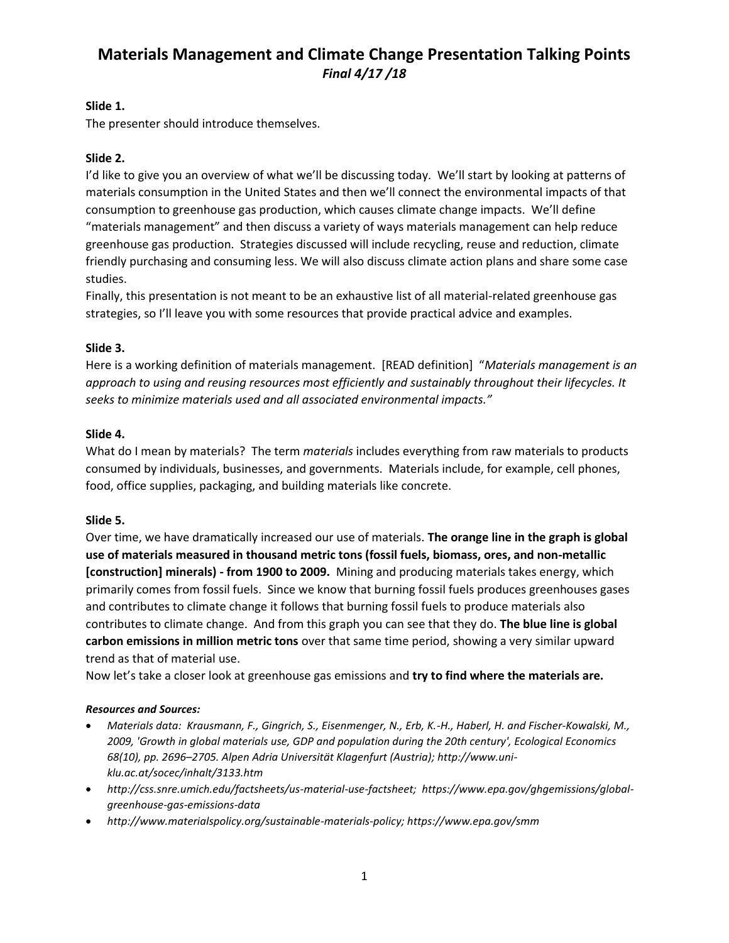## **Slide 1.**

The presenter should introduce themselves.

## **Slide 2.**

I'd like to give you an overview of what we'll be discussing today. We'll start by looking at patterns of materials consumption in the United States and then we'll connect the environmental impacts of that consumption to greenhouse gas production, which causes climate change impacts. We'll define "materials management" and then discuss a variety of ways materials management can help reduce greenhouse gas production. Strategies discussed will include recycling, reuse and reduction, climate friendly purchasing and consuming less. We will also discuss climate action plans and share some case studies.

Finally, this presentation is not meant to be an exhaustive list of all material-related greenhouse gas strategies, so I'll leave you with some resources that provide practical advice and examples.

## **Slide 3.**

Here is a working definition of materials management. [READ definition] "*Materials management is an approach to using and reusing resources most efficiently and sustainably throughout their lifecycles. It seeks to minimize materials used and all associated environmental impacts."* 

## **Slide 4.**

What do I mean by materials? The term *materials* includes everything from raw materials to products consumed by individuals, businesses, and governments. Materials include, for example, cell phones, food, office supplies, packaging, and building materials like concrete.

#### **Slide 5.**

Over time, we have dramatically increased our use of materials. **The orange line in the graph is global use of materials measured in thousand metric tons (fossil fuels, biomass, ores, and non-metallic [construction] minerals) - from 1900 to 2009.** Mining and producing materials takes energy, which primarily comes from fossil fuels. Since we know that burning fossil fuels produces greenhouses gases and contributes to climate change it follows that burning fossil fuels to produce materials also contributes to climate change. And from this graph you can see that they do. **The blue line is global carbon emissions in million metric tons** over that same time period, showing a very similar upward trend as that of material use.

Now let's take a closer look at greenhouse gas emissions and **try to find where the materials are.** 

#### *Resources and Sources:*

- *Materials data: Krausmann, F., Gingrich, S., Eisenmenger, N., Erb, K.-H., Haberl, H. and Fischer-Kowalski, M., 2009, 'Growth in global materials use, GDP and population during the 20th century', Ecological Economics 68(10), pp. 2696–2705. Alpen Adria Universität Klagenfurt (Austria); http://www.uniklu.ac.at/socec/inhalt/3133.htm*
- *http://css.snre.umich.edu/factsheets/us-material-use-factsheet; https://www.epa.gov/ghgemissions/globalgreenhouse-gas-emissions-data*
- *http://www.materialspolicy.org/sustainable-materials-policy; https://www.epa.gov/smm*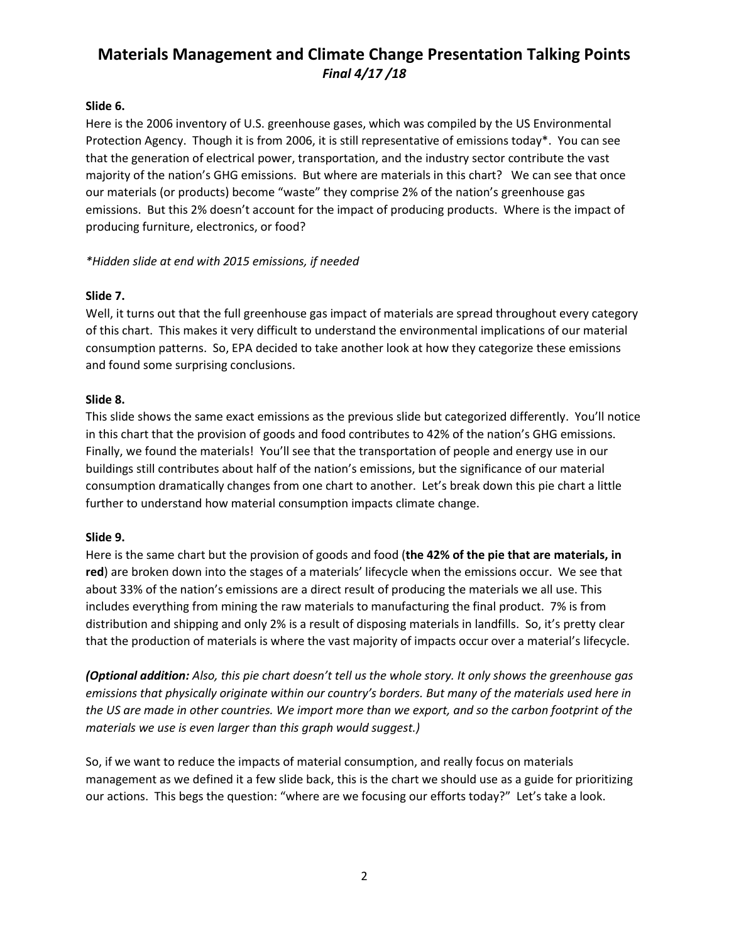## **Slide 6.**

Here is the 2006 inventory of U.S. greenhouse gases, which was compiled by the US Environmental Protection Agency. Though it is from 2006, it is still representative of emissions today\*. You can see that the generation of electrical power, transportation, and the industry sector contribute the vast majority of the nation's GHG emissions. But where are materials in this chart? We can see that once our materials (or products) become "waste" they comprise 2% of the nation's greenhouse gas emissions. But this 2% doesn't account for the impact of producing products. Where is the impact of producing furniture, electronics, or food?

## *\*Hidden slide at end with 2015 emissions, if needed*

## **Slide 7.**

Well, it turns out that the full greenhouse gas impact of materials are spread throughout every category of this chart. This makes it very difficult to understand the environmental implications of our material consumption patterns. So, EPA decided to take another look at how they categorize these emissions and found some surprising conclusions.

## **Slide 8.**

This slide shows the same exact emissions as the previous slide but categorized differently. You'll notice in this chart that the provision of goods and food contributes to 42% of the nation's GHG emissions. Finally, we found the materials! You'll see that the transportation of people and energy use in our buildings still contributes about half of the nation's emissions, but the significance of our material consumption dramatically changes from one chart to another. Let's break down this pie chart a little further to understand how material consumption impacts climate change.

#### **Slide 9.**

Here is the same chart but the provision of goods and food (**the 42% of the pie that are materials, in red**) are broken down into the stages of a materials' lifecycle when the emissions occur. We see that about 33% of the nation's emissions are a direct result of producing the materials we all use. This includes everything from mining the raw materials to manufacturing the final product. 7% is from distribution and shipping and only 2% is a result of disposing materials in landfills. So, it's pretty clear that the production of materials is where the vast majority of impacts occur over a material's lifecycle.

*(Optional addition: Also, this pie chart doesn't tell us the whole story. It only shows the greenhouse gas emissions that physically originate within our country's borders. But many of the materials used here in the US are made in other countries. We import more than we export, and so the carbon footprint of the materials we use is even larger than this graph would suggest.)*

So, if we want to reduce the impacts of material consumption, and really focus on materials management as we defined it a few slide back, this is the chart we should use as a guide for prioritizing our actions. This begs the question: "where are we focusing our efforts today?" Let's take a look.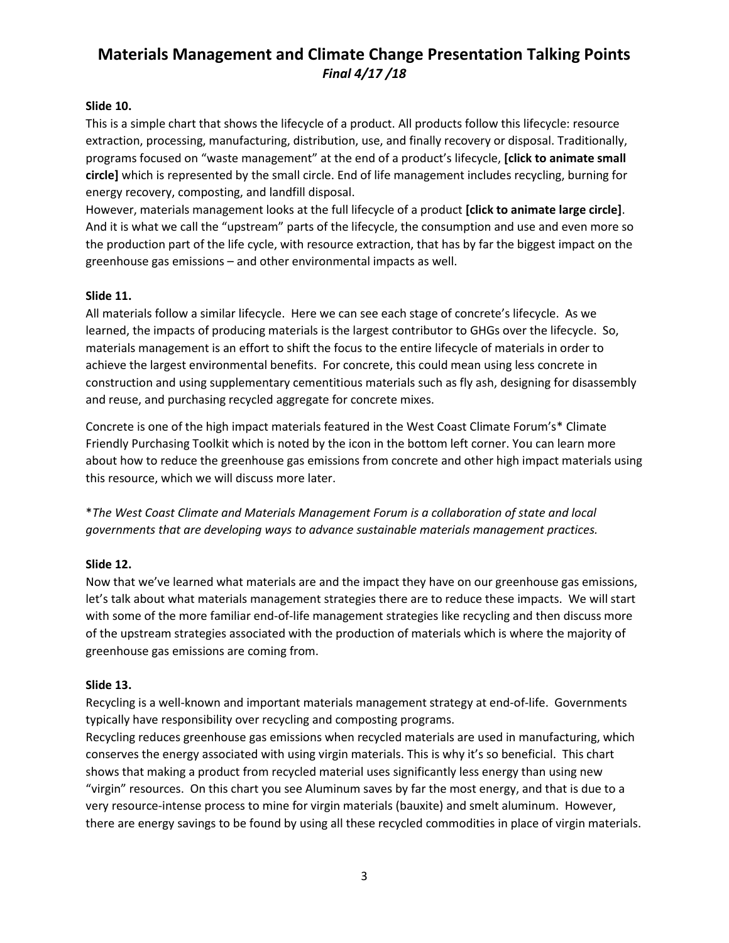## **Slide 10.**

This is a simple chart that shows the lifecycle of a product. All products follow this lifecycle: resource extraction, processing, manufacturing, distribution, use, and finally recovery or disposal. Traditionally, programs focused on "waste management" at the end of a product's lifecycle, **[click to animate small circle]** which is represented by the small circle. End of life management includes recycling, burning for energy recovery, composting, and landfill disposal.

However, materials management looks at the full lifecycle of a product **[click to animate large circle]**. And it is what we call the "upstream" parts of the lifecycle, the consumption and use and even more so the production part of the life cycle, with resource extraction, that has by far the biggest impact on the greenhouse gas emissions – and other environmental impacts as well.

## **Slide 11.**

All materials follow a similar lifecycle. Here we can see each stage of concrete's lifecycle. As we learned, the impacts of producing materials is the largest contributor to GHGs over the lifecycle. So, materials management is an effort to shift the focus to the entire lifecycle of materials in order to achieve the largest environmental benefits. For concrete, this could mean using less concrete in construction and using supplementary cementitious materials such as fly ash, designing for disassembly and reuse, and purchasing recycled aggregate for concrete mixes.

Concrete is one of the high impact materials featured in the West Coast Climate Forum's\* Climate Friendly Purchasing Toolkit which is noted by the icon in the bottom left corner. You can learn more about how to reduce the greenhouse gas emissions from concrete and other high impact materials using this resource, which we will discuss more later.

\**The West Coast Climate and Materials Management Forum is a collaboration of state and local governments that are developing ways to advance sustainable materials management practices.* 

## **Slide 12.**

Now that we've learned what materials are and the impact they have on our greenhouse gas emissions, let's talk about what materials management strategies there are to reduce these impacts. We will start with some of the more familiar end-of-life management strategies like recycling and then discuss more of the upstream strategies associated with the production of materials which is where the majority of greenhouse gas emissions are coming from.

#### **Slide 13.**

Recycling is a well-known and important materials management strategy at end-of-life. Governments typically have responsibility over recycling and composting programs.

Recycling reduces greenhouse gas emissions when recycled materials are used in manufacturing, which conserves the energy associated with using virgin materials. This is why it's so beneficial. This chart shows that making a product from recycled material uses significantly less energy than using new "virgin" resources. On this chart you see Aluminum saves by far the most energy, and that is due to a very resource-intense process to mine for virgin materials (bauxite) and smelt aluminum. However, there are energy savings to be found by using all these recycled commodities in place of virgin materials.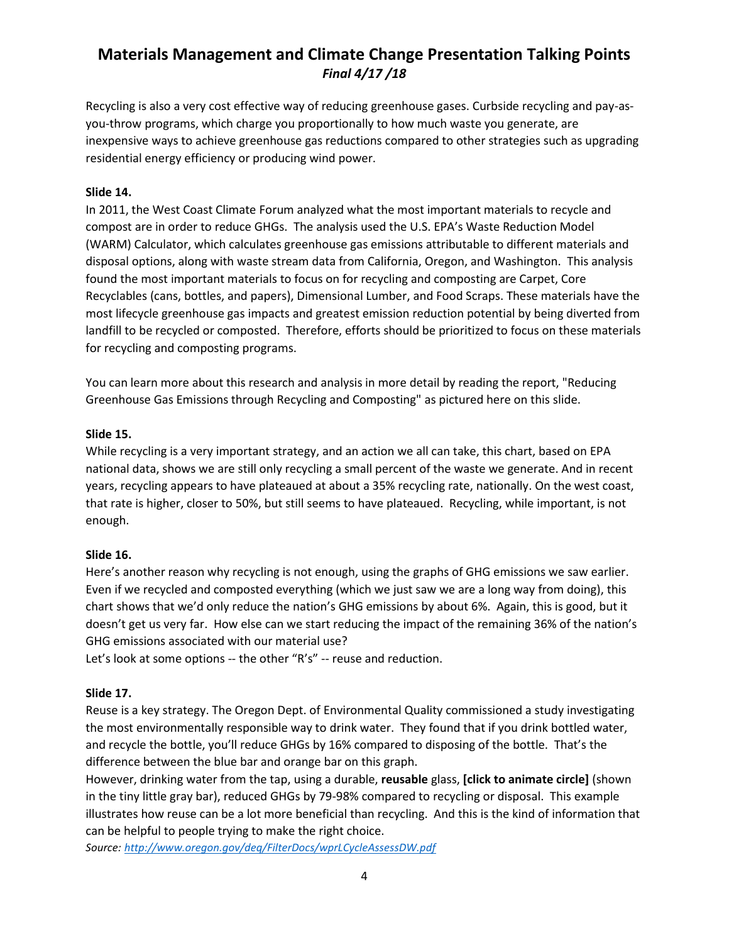Recycling is also a very cost effective way of reducing greenhouse gases. Curbside recycling and pay-asyou-throw programs, which charge you proportionally to how much waste you generate, are inexpensive ways to achieve greenhouse gas reductions compared to other strategies such as upgrading residential energy efficiency or producing wind power.

#### **Slide 14.**

In 2011, the West Coast Climate Forum analyzed what the most important materials to recycle and compost are in order to reduce GHGs. The analysis used the U.S. EPA's Waste Reduction Model (WARM) Calculator, which calculates greenhouse gas emissions attributable to different materials and disposal options, along with waste stream data from California, Oregon, and Washington. This analysis found the most important materials to focus on for recycling and composting are Carpet, Core Recyclables (cans, bottles, and papers), Dimensional Lumber, and Food Scraps. These materials have the most lifecycle greenhouse gas impacts and greatest emission reduction potential by being diverted from landfill to be recycled or composted. Therefore, efforts should be prioritized to focus on these materials for recycling and composting programs.

You can learn more about this research and analysis in more detail by reading the report, "Reducing Greenhouse Gas Emissions through Recycling and Composting" as pictured here on this slide.

## **Slide 15.**

While recycling is a very important strategy, and an action we all can take, this chart, based on EPA national data, shows we are still only recycling a small percent of the waste we generate. And in recent years, recycling appears to have plateaued at about a 35% recycling rate, nationally. On the west coast, that rate is higher, closer to 50%, but still seems to have plateaued. Recycling, while important, is not enough.

## **Slide 16.**

Here's another reason why recycling is not enough, using the graphs of GHG emissions we saw earlier. Even if we recycled and composted everything (which we just saw we are a long way from doing), this chart shows that we'd only reduce the nation's GHG emissions by about 6%. Again, this is good, but it doesn't get us very far. How else can we start reducing the impact of the remaining 36% of the nation's GHG emissions associated with our material use?

Let's look at some options -- the other "R's" -- reuse and reduction.

## **Slide 17.**

Reuse is a key strategy. The Oregon Dept. of Environmental Quality commissioned a study investigating the most environmentally responsible way to drink water. They found that if you drink bottled water, and recycle the bottle, you'll reduce GHGs by 16% compared to disposing of the bottle. That's the difference between the blue bar and orange bar on this graph.

However, drinking water from the tap, using a durable, **reusable** glass, **[click to animate circle]** (shown in the tiny little gray bar), reduced GHGs by 79-98% compared to recycling or disposal. This example illustrates how reuse can be a lot more beneficial than recycling. And this is the kind of information that can be helpful to people trying to make the right choice.

*Source: <http://www.oregon.gov/deq/FilterDocs/wprLCycleAssessDW.pdf>*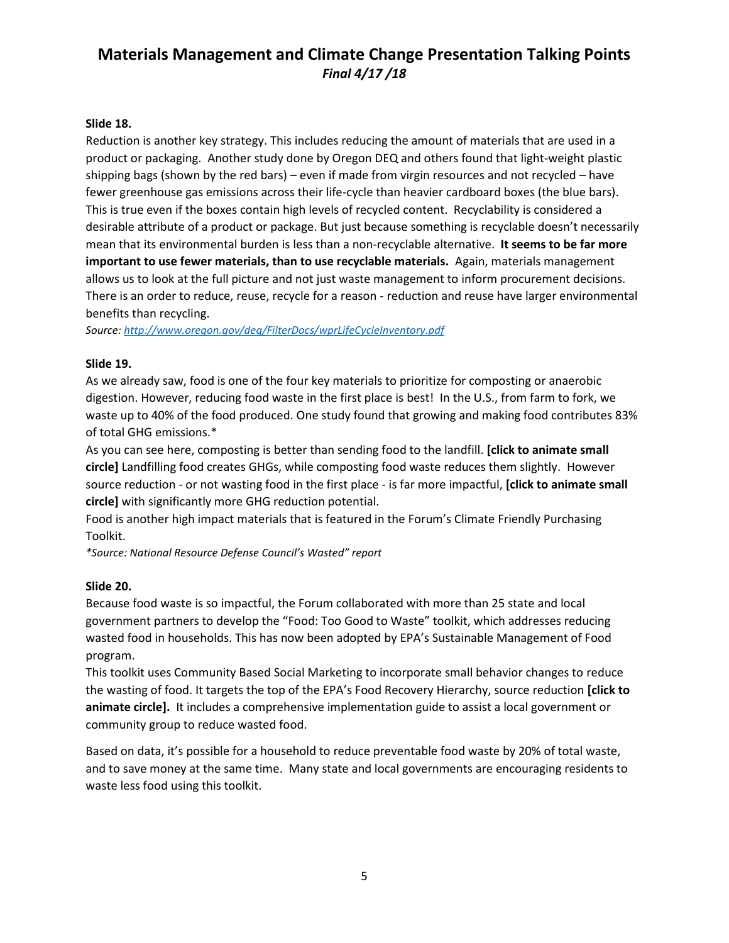#### **Slide 18.**

Reduction is another key strategy. This includes reducing the amount of materials that are used in a product or packaging. Another study done by Oregon DEQ and others found that light-weight plastic shipping bags (shown by the red bars) – even if made from virgin resources and not recycled – have fewer greenhouse gas emissions across their life-cycle than heavier cardboard boxes (the blue bars). This is true even if the boxes contain high levels of recycled content. Recyclability is considered a desirable attribute of a product or package. But just because something is recyclable doesn't necessarily mean that its environmental burden is less than a non-recyclable alternative. **It seems to be far more important to use fewer materials, than to use recyclable materials.** Again, materials management allows us to look at the full picture and not just waste management to inform procurement decisions. There is an order to reduce, reuse, recycle for a reason - reduction and reuse have larger environmental benefits than recycling.

*Source:<http://www.oregon.gov/deq/FilterDocs/wprLifeCycleInventory.pdf>*

#### **Slide 19.**

As we already saw, food is one of the four key materials to prioritize for composting or anaerobic digestion. However, reducing food waste in the first place is best! In the U.S., from farm to fork, we waste up to 40% of the food produced. One study found that growing and making food contributes 83% of total GHG emissions.\*

As you can see here, composting is better than sending food to the landfill. **[click to animate small circle]** Landfilling food creates GHGs, while composting food waste reduces them slightly. However source reduction - or not wasting food in the first place - is far more impactful, **[click to animate small circle]** with significantly more GHG reduction potential.

Food is another high impact materials that is featured in the Forum's Climate Friendly Purchasing Toolkit.

*\*Source: National Resource Defense Council's Wasted" report* 

#### **Slide 20.**

Because food waste is so impactful, the Forum collaborated with more than 25 state and local government partners to develop the "Food: Too Good to Waste" toolkit, which addresses reducing wasted food in households. This has now been adopted by EPA's Sustainable Management of Food program.

This toolkit uses Community Based Social Marketing to incorporate small behavior changes to reduce the wasting of food. It targets the top of the EPA's Food Recovery Hierarchy, source reduction **[click to animate circle].** It includes a comprehensive implementation guide to assist a local government or community group to reduce wasted food.

Based on data, it's possible for a household to reduce preventable food waste by 20% of total waste, and to save money at the same time. Many state and local governments are encouraging residents to waste less food using this toolkit.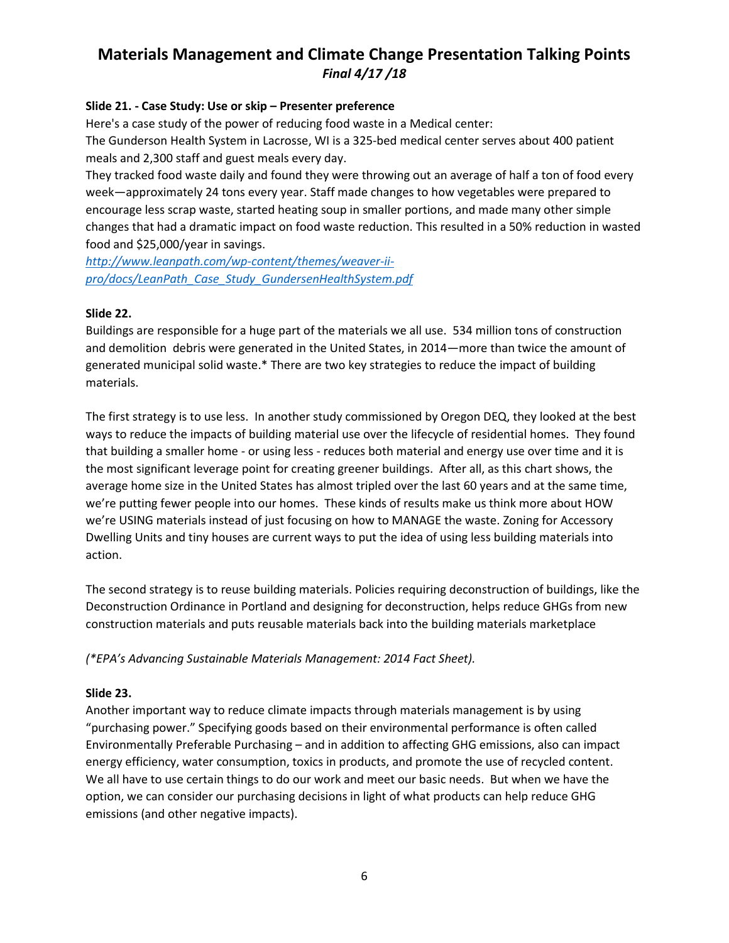## **Slide 21. - Case Study: Use or skip – Presenter preference**

Here's a case study of the power of reducing food waste in a Medical center: The Gunderson Health System in Lacrosse, WI is a 325-bed medical center serves about 400 patient meals and 2,300 staff and guest meals every day.

They tracked food waste daily and found they were throwing out an average of half a ton of food every week—approximately 24 tons every year. Staff made changes to how vegetables were prepared to encourage less scrap waste, started heating soup in smaller portions, and made many other simple changes that had a dramatic impact on food waste reduction. This resulted in a 50% reduction in wasted food and \$25,000/year in savings.

*[http://www.leanpath.com/wp-content/themes/weaver-ii](http://www.leanpath.com/wp-content/themes/weaver-ii-pro/docs/LeanPath_Case_Study_GundersenHealthSystem.pdf)[pro/docs/LeanPath\\_Case\\_Study\\_GundersenHealthSystem.pdf](http://www.leanpath.com/wp-content/themes/weaver-ii-pro/docs/LeanPath_Case_Study_GundersenHealthSystem.pdf)*

## **Slide 22.**

Buildings are responsible for a huge part of the materials we all use. 534 million tons of construction and demolition debris were generated in the United States, in 2014—more than twice the amount of generated municipal solid waste.\* There are two key strategies to reduce the impact of building materials.

The first strategy is to use less. In another study commissioned by Oregon DEQ, they looked at the best ways to reduce the impacts of building material use over the lifecycle of residential homes. They found that building a smaller home - or using less - reduces both material and energy use over time and it is the most significant leverage point for creating greener buildings. After all, as this chart shows, the average home size in the United States has almost tripled over the last 60 years and at the same time, we're putting fewer people into our homes. These kinds of results make us think more about HOW we're USING materials instead of just focusing on how to MANAGE the waste. Zoning for Accessory Dwelling Units and tiny houses are current ways to put the idea of using less building materials into action.

The second strategy is to reuse building materials. Policies requiring deconstruction of buildings, like the Deconstruction Ordinance in Portland and designing for deconstruction, helps reduce GHGs from new construction materials and puts reusable materials back into the building materials marketplace

*(\*EPA's Advancing Sustainable Materials Management: 2014 Fact Sheet).*

## **Slide 23.**

Another important way to reduce climate impacts through materials management is by using "purchasing power." Specifying goods based on their environmental performance is often called Environmentally Preferable Purchasing – and in addition to affecting GHG emissions, also can impact energy efficiency, water consumption, toxics in products, and promote the use of recycled content. We all have to use certain things to do our work and meet our basic needs. But when we have the option, we can consider our purchasing decisions in light of what products can help reduce GHG emissions (and other negative impacts).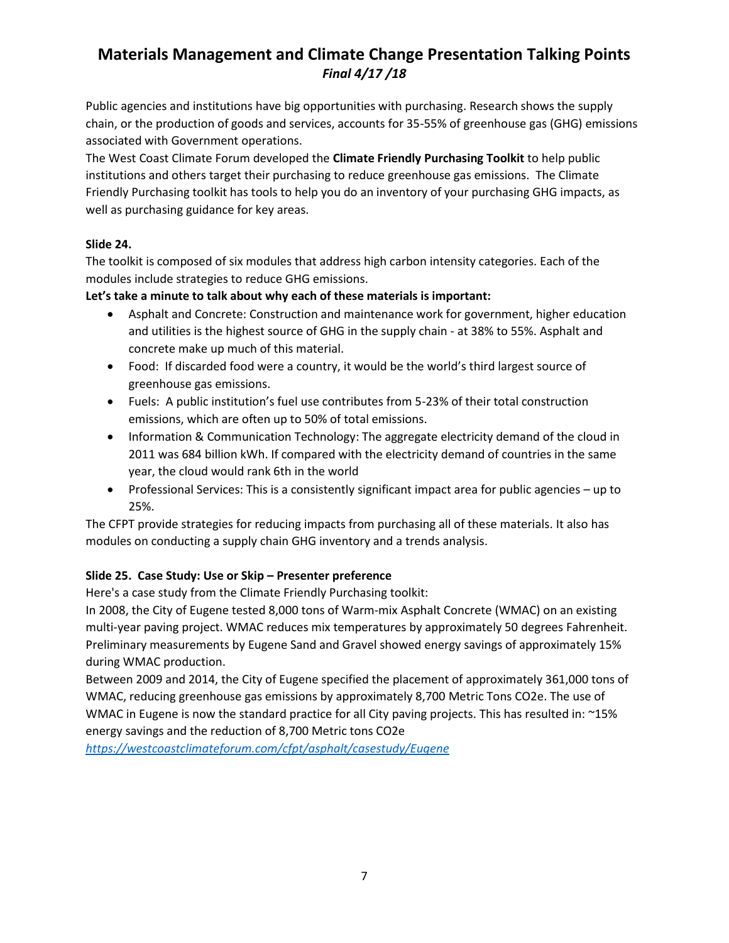Public agencies and institutions have big opportunities with purchasing. Research shows the supply chain, or the production of goods and services, accounts for 35-55% of greenhouse gas (GHG) emissions associated with Government operations.

The West Coast Climate Forum developed the **Climate Friendly Purchasing Toolkit** to help public institutions and others target their purchasing to reduce greenhouse gas emissions. The Climate Friendly Purchasing toolkit has tools to help you do an inventory of your purchasing GHG impacts, as well as purchasing guidance for key areas.

# **Slide 24.**

The toolkit is composed of six modules that address high carbon intensity categories. Each of the modules include strategies to reduce GHG emissions.

**Let's take a minute to talk about why each of these materials is important:** 

- Asphalt and Concrete: Construction and maintenance work for government, higher education and utilities is the highest source of GHG in the supply chain - at 38% to 55%. Asphalt and concrete make up much of this material.
- Food: If discarded food were a country, it would be the world's third largest source of greenhouse gas emissions.
- Fuels: A public institution's fuel use contributes from 5-23% of their total construction emissions, which are often up to 50% of total emissions.
- Information & Communication Technology: The aggregate electricity demand of the cloud in 2011 was 684 billion kWh. If compared with the electricity demand of countries in the same year, the cloud would rank 6th in the world
- Professional Services: This is a consistently significant impact area for public agencies up to 25%.

The CFPT provide strategies for reducing impacts from purchasing all of these materials. It also has modules on conducting a supply chain GHG inventory and a trends analysis.

# **Slide 25. Case Study: Use or Skip – Presenter preference**

Here's a case study from the Climate Friendly Purchasing toolkit:

In 2008, the City of Eugene tested 8,000 tons of Warm-mix Asphalt Concrete (WMAC) on an existing multi-year paving project. WMAC reduces mix temperatures by approximately 50 degrees Fahrenheit. Preliminary measurements by Eugene Sand and Gravel showed energy savings of approximately 15% during WMAC production.

Between 2009 and 2014, the City of Eugene specified the placement of approximately 361,000 tons of WMAC, reducing greenhouse gas emissions by approximately 8,700 Metric Tons CO2e. The use of WMAC in Eugene is now the standard practice for all City paving projects. This has resulted in: ~15% energy savings and the reduction of 8,700 Metric tons CO2e

*<https://westcoastclimateforum.com/cfpt/asphalt/casestudy/Eugene>*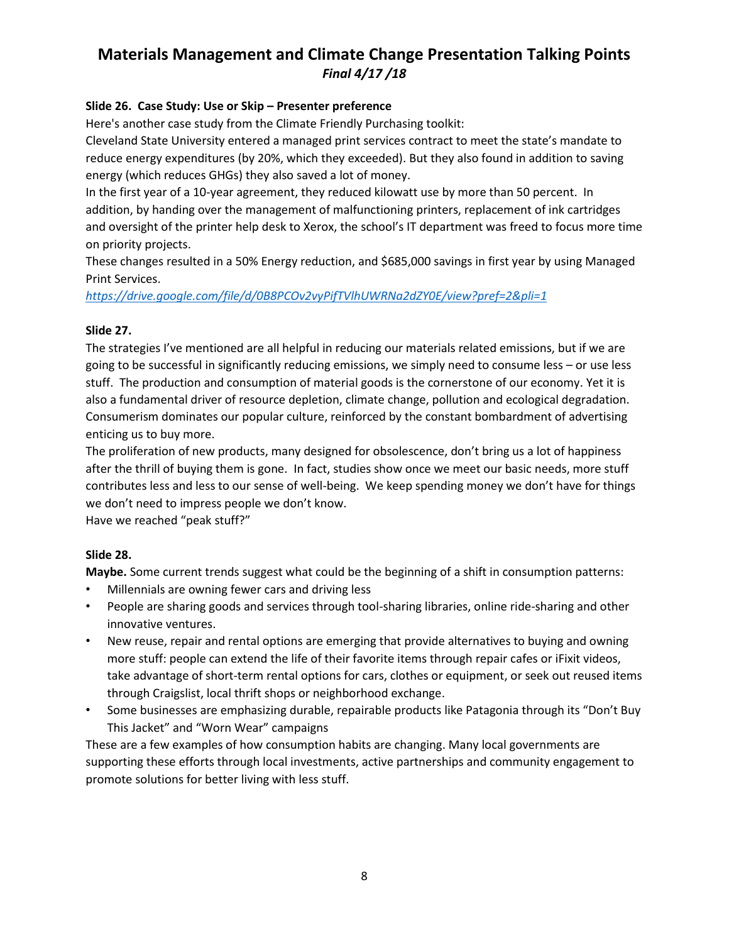# **Slide 26. Case Study: Use or Skip – Presenter preference**

Here's another case study from the Climate Friendly Purchasing toolkit:

Cleveland State University entered a managed print services contract to meet the state's mandate to reduce energy expenditures (by 20%, which they exceeded). But they also found in addition to saving energy (which reduces GHGs) they also saved a lot of money.

In the first year of a 10-year agreement, they reduced kilowatt use by more than 50 percent. In addition, by handing over the management of malfunctioning printers, replacement of ink cartridges and oversight of the printer help desk to Xerox, the school's IT department was freed to focus more time on priority projects.

These changes resulted in a 50% Energy reduction, and \$685,000 savings in first year by using Managed Print Services.

*<https://drive.google.com/file/d/0B8PCOv2vyPifTVlhUWRNa2dZY0E/view?pref=2&pli=1>*

## **Slide 27.**

The strategies I've mentioned are all helpful in reducing our materials related emissions, but if we are going to be successful in significantly reducing emissions, we simply need to consume less – or use less stuff. The production and consumption of material goods is the cornerstone of our economy. Yet it is also a fundamental driver of resource depletion, climate change, pollution and ecological degradation. Consumerism dominates our popular culture, reinforced by the constant bombardment of advertising enticing us to buy more.

The proliferation of new products, many designed for obsolescence, don't bring us a lot of happiness after the thrill of buying them is gone. In fact, studies show once we meet our basic needs, more stuff contributes less and less to our sense of well-being.We keep spending money we don't have for things we don't need to impress people we don't know.

Have we reached "peak stuff?"

## **Slide 28.**

**Maybe.** Some current trends suggest what could be the beginning of a shift in consumption patterns:

- Millennials are owning fewer cars and driving less
- People are sharing goods and services through tool-sharing libraries, online ride-sharing and other innovative ventures.
- New reuse, repair and rental options are emerging that provide alternatives to buying and owning more stuff: people can extend the life of their favorite items through repair cafes or iFixit videos, take advantage of short-term rental options for cars, clothes or equipment, or seek out reused items through Craigslist, local thrift shops or neighborhood exchange.
- Some businesses are emphasizing durable, repairable products like Patagonia through its "Don't Buy This Jacket" and "Worn Wear" campaigns

These are a few examples of how consumption habits are changing. Many local governments are supporting these efforts through local investments, active partnerships and community engagement to promote solutions for better living with less stuff.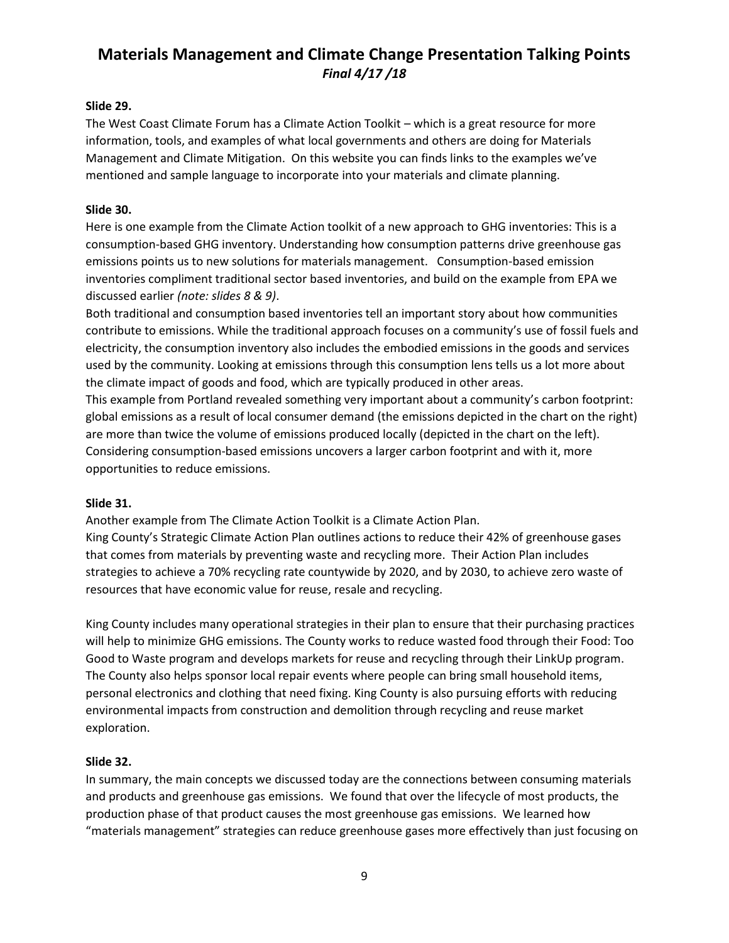## **Slide 29.**

The West Coast Climate Forum has a Climate Action Toolkit – which is a great resource for more information, tools, and examples of what local governments and others are doing for Materials Management and Climate Mitigation. On this website you can finds links to the examples we've mentioned and sample language to incorporate into your materials and climate planning.

## **Slide 30.**

Here is one example from the Climate Action toolkit of a new approach to GHG inventories: This is a consumption-based GHG inventory. Understanding how consumption patterns drive greenhouse gas emissions points us to new solutions for materials management. Consumption-based emission inventories compliment traditional sector based inventories, and build on the example from EPA we discussed earlier *(note: slides 8 & 9)*.

Both traditional and consumption based inventories tell an important story about how communities contribute to emissions. While the traditional approach focuses on a community's use of fossil fuels and electricity, the consumption inventory also includes the embodied emissions in the goods and services used by the community. Looking at emissions through this consumption lens tells us a lot more about the climate impact of goods and food, which are typically produced in other areas.

This example from Portland revealed something very important about a community's carbon footprint: global emissions as a result of local consumer demand (the emissions depicted in the chart on the right) are more than twice the volume of emissions produced locally (depicted in the chart on the left). Considering consumption-based emissions uncovers a larger carbon footprint and with it, more opportunities to reduce emissions.

#### **Slide 31.**

Another example from The Climate Action Toolkit is a Climate Action Plan.

King County's Strategic Climate Action Plan outlines actions to reduce their 42% of greenhouse gases that comes from materials by preventing waste and recycling more. Their Action Plan includes strategies to achieve a 70% recycling rate countywide by 2020, and by 2030, to achieve zero waste of resources that have economic value for reuse, resale and recycling.

King County includes many operational strategies in their plan to ensure that their purchasing practices will help to minimize GHG emissions. The County works to reduce wasted food through their Food: Too Good to Waste program and develops markets for reuse and recycling through their LinkUp program. The County also helps sponsor local repair events where people can bring small household items, personal electronics and clothing that need fixing. King County is also pursuing efforts with reducing environmental impacts from construction and demolition through recycling and reuse market exploration.

## **Slide 32.**

In summary, the main concepts we discussed today are the connections between consuming materials and products and greenhouse gas emissions. We found that over the lifecycle of most products, the production phase of that product causes the most greenhouse gas emissions. We learned how "materials management" strategies can reduce greenhouse gases more effectively than just focusing on